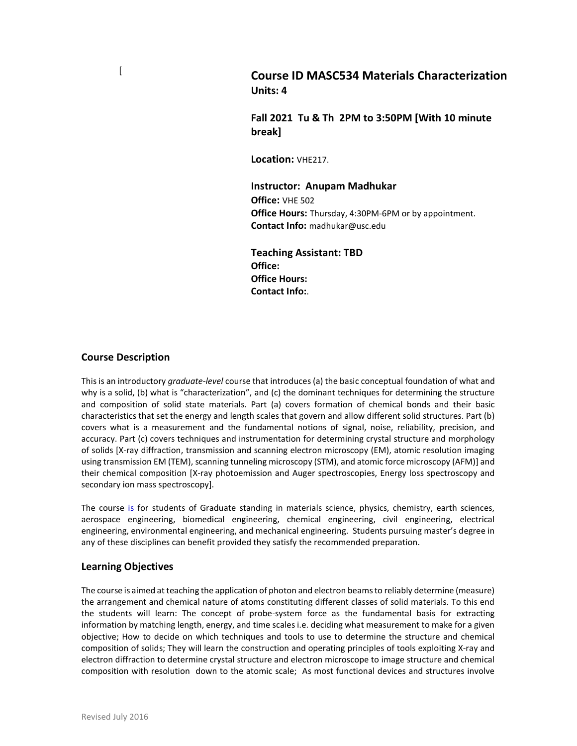Course ID MASC534 Materials Characterization Units: 4

Fall 2021 Tu & Th 2PM to 3:50PM [With 10 minute break]

Location: VHF217.

Instructor: Anupam Madhukar Office: VHE 502 **Office Hours:** Thursday, 4:30PM-6PM or by appointment. Contact Info: madhukar@usc.edu

Teaching Assistant: TBD Office: Office Hours: Contact Info:.

#### Course Description

 $\lceil$ 

This is an introductory graduate-level course that introduces (a) the basic conceptual foundation of what and why is a solid, (b) what is "characterization", and (c) the dominant techniques for determining the structure and composition of solid state materials. Part (a) covers formation of chemical bonds and their basic characteristics that set the energy and length scales that govern and allow different solid structures. Part (b) covers what is a measurement and the fundamental notions of signal, noise, reliability, precision, and accuracy. Part (c) covers techniques and instrumentation for determining crystal structure and morphology of solids [X-ray diffraction, transmission and scanning electron microscopy (EM), atomic resolution imaging using transmission EM (TEM), scanning tunneling microscopy (STM), and atomic force microscopy (AFM)] and their chemical composition [X-ray photoemission and Auger spectroscopies, Energy loss spectroscopy and secondary ion mass spectroscopy].

The course is for students of Graduate standing in materials science, physics, chemistry, earth sciences, aerospace engineering, biomedical engineering, chemical engineering, civil engineering, electrical engineering, environmental engineering, and mechanical engineering. Students pursuing master's degree in any of these disciplines can benefit provided they satisfy the recommended preparation.

### Learning Objectives

The course is aimed at teaching the application of photon and electron beams to reliably determine (measure) the arrangement and chemical nature of atoms constituting different classes of solid materials. To this end the students will learn: The concept of probe-system force as the fundamental basis for extracting information by matching length, energy, and time scales i.e. deciding what measurement to make for a given objective; How to decide on which techniques and tools to use to determine the structure and chemical composition of solids; They will learn the construction and operating principles of tools exploiting X-ray and electron diffraction to determine crystal structure and electron microscope to image structure and chemical composition with resolution down to the atomic scale; As most functional devices and structures involve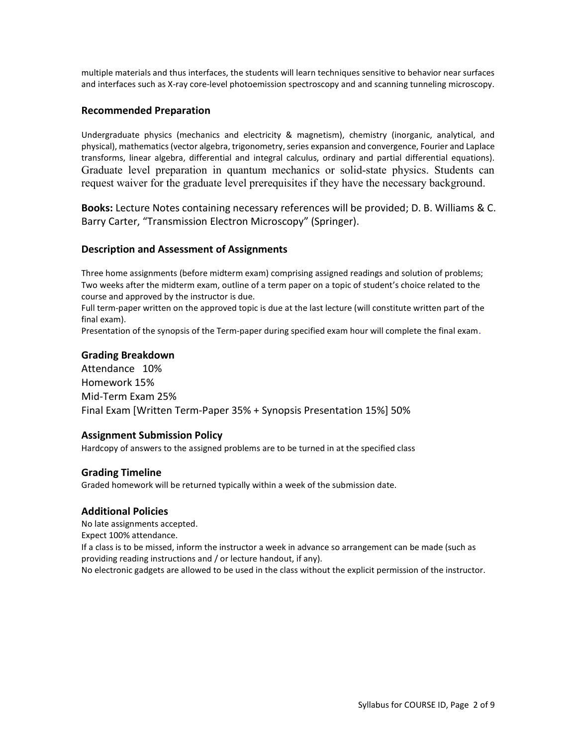multiple materials and thus interfaces, the students will learn techniques sensitive to behavior near surfaces and interfaces such as X-ray core-level photoemission spectroscopy and and scanning tunneling microscopy.

## Recommended Preparation

Undergraduate physics (mechanics and electricity & magnetism), chemistry (inorganic, analytical, and physical), mathematics (vector algebra, trigonometry, series expansion and convergence, Fourier and Laplace transforms, linear algebra, differential and integral calculus, ordinary and partial differential equations). Graduate level preparation in quantum mechanics or solid-state physics. Students can request waiver for the graduate level prerequisites if they have the necessary background.

Books: Lecture Notes containing necessary references will be provided; D. B. Williams & C. Barry Carter, "Transmission Electron Microscopy" (Springer).

## Description and Assessment of Assignments

Three home assignments (before midterm exam) comprising assigned readings and solution of problems; Two weeks after the midterm exam, outline of a term paper on a topic of student's choice related to the course and approved by the instructor is due.

Full term-paper written on the approved topic is due at the last lecture (will constitute written part of the final exam).

Presentation of the synopsis of the Term-paper during specified exam hour will complete the final exam.

## Grading Breakdown

Attendance 10% Homework 15% Mid-Term Exam 25% Final Exam [Written Term-Paper 35% + Synopsis Presentation 15%] 50%

### Assignment Submission Policy

Hardcopy of answers to the assigned problems are to be turned in at the specified class

### Grading Timeline

Graded homework will be returned typically within a week of the submission date.

### Additional Policies

No late assignments accepted.

Expect 100% attendance.

If a class is to be missed, inform the instructor a week in advance so arrangement can be made (such as providing reading instructions and / or lecture handout, if any).

No electronic gadgets are allowed to be used in the class without the explicit permission of the instructor.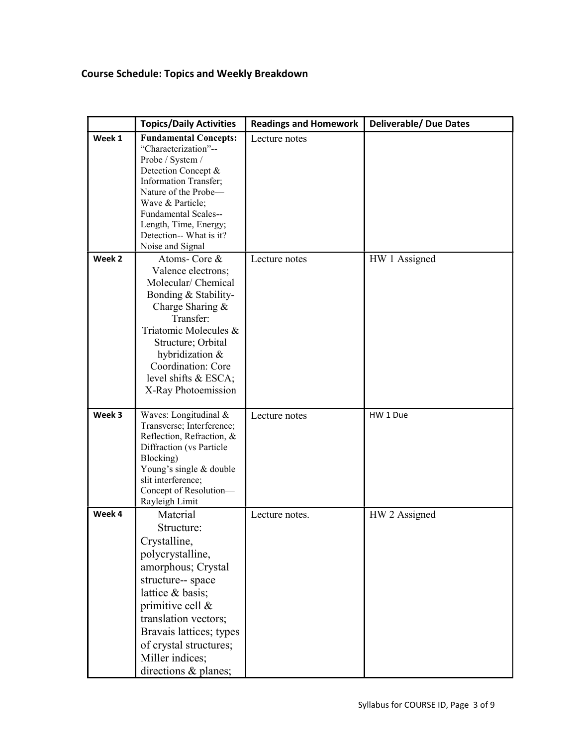# Course Schedule: Topics and Weekly Breakdown

|        | <b>Topics/Daily Activities</b>                                                                                                                                                                                                                                              | <b>Readings and Homework</b> | <b>Deliverable/ Due Dates</b> |
|--------|-----------------------------------------------------------------------------------------------------------------------------------------------------------------------------------------------------------------------------------------------------------------------------|------------------------------|-------------------------------|
| Week 1 | <b>Fundamental Concepts:</b><br>"Characterization"--<br>Probe / System /<br>Detection Concept &<br><b>Information Transfer;</b><br>Nature of the Probe-<br>Wave & Particle;<br>Fundamental Scales--<br>Length, Time, Energy;<br>Detection-- What is it?<br>Noise and Signal | Lecture notes                |                               |
| Week 2 | Atoms-Core &<br>Valence electrons;<br>Molecular/ Chemical<br>Bonding & Stability-<br>Charge Sharing &<br>Transfer:<br>Triatomic Molecules &<br>Structure; Orbital<br>hybridization &<br>Coordination: Core<br>level shifts & ESCA;<br>X-Ray Photoemission                   | Lecture notes                | HW 1 Assigned                 |
| Week 3 | Waves: Longitudinal &<br>Transverse; Interference;<br>Reflection, Refraction, &<br>Diffraction (vs Particle<br>Blocking)<br>Young's single & double<br>slit interference;<br>Concept of Resolution-<br>Rayleigh Limit                                                       | Lecture notes                | HW 1 Due                      |
| Week 4 | Material<br>Structure:<br>Crystalline,<br>polycrystalline,<br>amorphous; Crystal<br>structure-- space<br>lattice & basis;<br>primitive cell &<br>translation vectors;<br>Bravais lattices; types<br>of crystal structures;<br>Miller indices;<br>directions & planes;       | Lecture notes.               | HW 2 Assigned                 |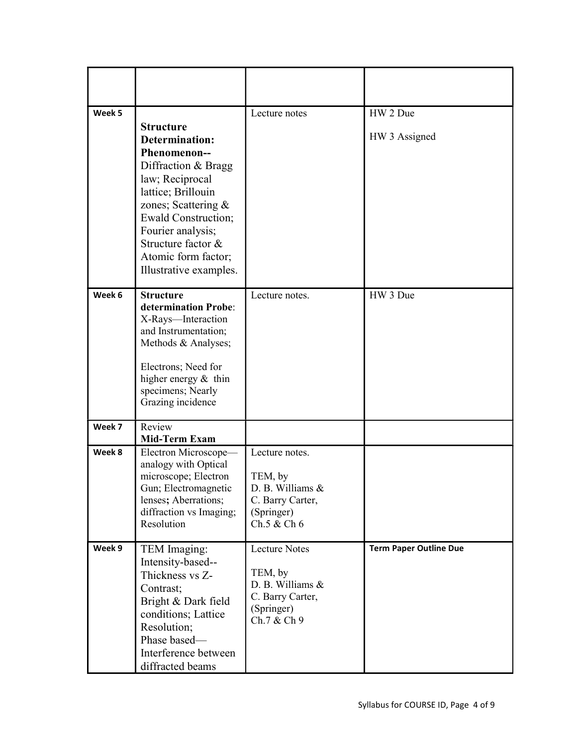| Week 5 | <b>Structure</b><br><b>Determination:</b><br>Phenomenon--<br>Diffraction & Bragg<br>law; Reciprocal<br>lattice; Brillouin<br>zones; Scattering &<br><b>Ewald Construction;</b><br>Fourier analysis;<br>Structure factor &<br>Atomic form factor;<br>Illustrative examples. | Lecture notes                                                                                  | HW 2 Due<br>HW 3 Assigned     |
|--------|----------------------------------------------------------------------------------------------------------------------------------------------------------------------------------------------------------------------------------------------------------------------------|------------------------------------------------------------------------------------------------|-------------------------------|
| Week 6 | <b>Structure</b><br>determination Probe:<br>X-Rays-Interaction<br>and Instrumentation;<br>Methods & Analyses;<br>Electrons; Need for<br>higher energy & thin<br>specimens; Nearly<br>Grazing incidence                                                                     | Lecture notes.                                                                                 | HW 3 Due                      |
| Week 7 | Review<br><b>Mid-Term Exam</b>                                                                                                                                                                                                                                             |                                                                                                |                               |
| Week 8 | Electron Microscope-<br>analogy with Optical<br>microscope; Electron<br>Gun; Electromagnetic<br>lenses; Aberrations;<br>diffraction vs Imaging;<br>Resolution                                                                                                              | Lecture notes.<br>TEM, by<br>D. B. Williams &<br>C. Barry Carter,<br>(Springer)<br>Ch.5 & Ch 6 |                               |
| Week 9 | TEM Imaging:<br>Intensity-based--<br>Thickness vs Z-<br>Contrast;<br>Bright & Dark field<br>conditions; Lattice<br>Resolution;<br>Phase based-<br>Interference between<br>diffracted beams                                                                                 | Lecture Notes<br>TEM, by<br>D. B. Williams &<br>C. Barry Carter,<br>(Springer)<br>Ch.7 & Ch 9  | <b>Term Paper Outline Due</b> |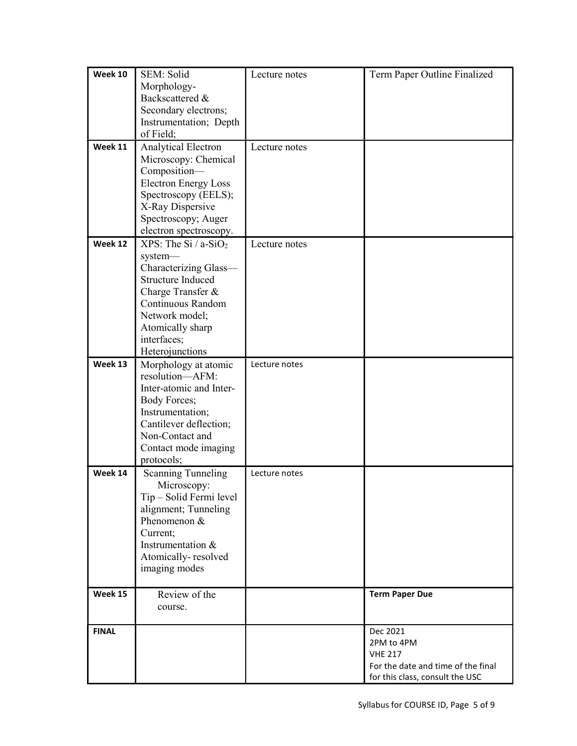| <b>Week 10</b> | SEM: Solid                          | Lecture notes | Term Paper Outline Finalized       |
|----------------|-------------------------------------|---------------|------------------------------------|
|                | Morphology-                         |               |                                    |
|                | Backscattered &                     |               |                                    |
|                | Secondary electrons;                |               |                                    |
|                | Instrumentation; Depth              |               |                                    |
|                | of Field;                           |               |                                    |
| Week 11        | Analytical Electron                 | Lecture notes |                                    |
|                | Microscopy: Chemical                |               |                                    |
|                | Composition-                        |               |                                    |
|                | <b>Electron Energy Loss</b>         |               |                                    |
|                | Spectroscopy (EELS);                |               |                                    |
|                | X-Ray Dispersive                    |               |                                    |
|                | Spectroscopy; Auger                 |               |                                    |
|                | electron spectroscopy.              |               |                                    |
| Week 12        | XPS: The Si $/ a$ -SiO <sub>2</sub> | Lecture notes |                                    |
|                | system-                             |               |                                    |
|                | Characterizing Glass-               |               |                                    |
|                | <b>Structure Induced</b>            |               |                                    |
|                | Charge Transfer &                   |               |                                    |
|                | Continuous Random                   |               |                                    |
|                | Network model;                      |               |                                    |
|                | Atomically sharp                    |               |                                    |
|                | interfaces;                         |               |                                    |
|                | Heterojunctions                     |               |                                    |
| Week 13        | Morphology at atomic                | Lecture notes |                                    |
|                | resolution-AFM:                     |               |                                    |
|                | Inter-atomic and Inter-             |               |                                    |
|                | <b>Body Forces;</b>                 |               |                                    |
|                | Instrumentation;                    |               |                                    |
|                | Cantilever deflection;              |               |                                    |
|                | Non-Contact and                     |               |                                    |
|                | Contact mode imaging                |               |                                    |
|                | protocols;                          |               |                                    |
| Week 14        | <b>Scanning Tunneling</b>           | Lecture notes |                                    |
|                | Microscopy:                         |               |                                    |
|                | Tip - Solid Fermi level             |               |                                    |
|                | alignment; Tunneling                |               |                                    |
|                | Phenomenon &                        |               |                                    |
|                | Current;                            |               |                                    |
|                | Instrumentation &                   |               |                                    |
|                | Atomically-resolved                 |               |                                    |
|                | imaging modes                       |               |                                    |
| Week 15        | Review of the                       |               | <b>Term Paper Due</b>              |
|                | course.                             |               |                                    |
|                |                                     |               |                                    |
| <b>FINAL</b>   |                                     |               | Dec 2021                           |
|                |                                     |               | 2PM to 4PM                         |
|                |                                     |               | <b>VHE 217</b>                     |
|                |                                     |               | For the date and time of the final |
|                |                                     |               | for this class, consult the USC    |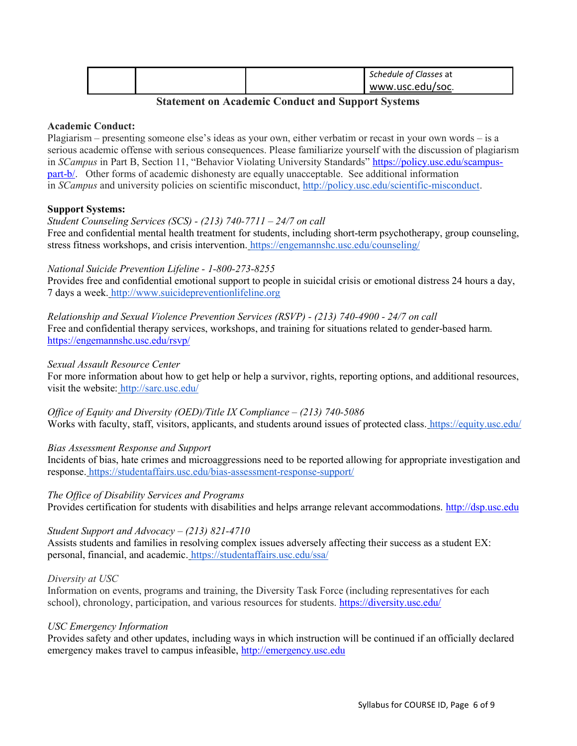|  | Schedule of Classes at |
|--|------------------------|
|  | www.usc.edu/soc.       |

## Statement on Academic Conduct and Support Systems

### Academic Conduct:

Plagiarism – presenting someone else's ideas as your own, either verbatim or recast in your own words – is a serious academic offense with serious consequences. Please familiarize yourself with the discussion of plagiarism in SCampus in Part B, Section 11, "Behavior Violating University Standards" https://policy.usc.edu/scampuspart-b/. Other forms of academic dishonesty are equally unacceptable. See additional information in SCampus and university policies on scientific misconduct, http://policy.usc.edu/scientific-misconduct.

### Support Systems:

#### Student Counseling Services (SCS) - (213) 740-7711 – 24/7 on call

Free and confidential mental health treatment for students, including short-term psychotherapy, group counseling, stress fitness workshops, and crisis intervention. https://engemannshc.usc.edu/counseling/

### National Suicide Prevention Lifeline - 1-800-273-8255

Provides free and confidential emotional support to people in suicidal crisis or emotional distress 24 hours a day, 7 days a week. http://www.suicidepreventionlifeline.org

Relationship and Sexual Violence Prevention Services (RSVP) - (213) 740-4900 - 24/7 on call Free and confidential therapy services, workshops, and training for situations related to gender-based harm. https://engemannshc.usc.edu/rsvp/

### Sexual Assault Resource Center

For more information about how to get help or help a survivor, rights, reporting options, and additional resources, visit the website: http://sarc.usc.edu/

Office of Equity and Diversity (OED)/Title IX Compliance  $-$  (213) 740-5086 Works with faculty, staff, visitors, applicants, and students around issues of protected class. https://equity.usc.edu/

### Bias Assessment Response and Support

Incidents of bias, hate crimes and microaggressions need to be reported allowing for appropriate investigation and response. https://studentaffairs.usc.edu/bias-assessment-response-support/

### The Office of Disability Services and Programs

Provides certification for students with disabilities and helps arrange relevant accommodations. http://dsp.usc.edu

### Student Support and Advocacy –  $(213)$  821-4710

Assists students and families in resolving complex issues adversely affecting their success as a student EX: personal, financial, and academic. https://studentaffairs.usc.edu/ssa/

#### Diversity at USC

Information on events, programs and training, the Diversity Task Force (including representatives for each school), chronology, participation, and various resources for students. https://diversity.usc.edu/

### USC Emergency Information

Provides safety and other updates, including ways in which instruction will be continued if an officially declared emergency makes travel to campus infeasible, http://emergency.usc.edu